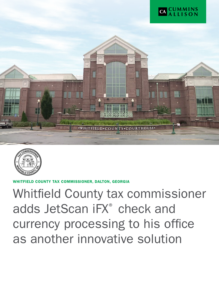



ITY TAX COMMISSIONER, DALTON, GEORGIA

Whitfield County tax commissioner adds JetScan iFX® check and currency processing to his office as another innovative solution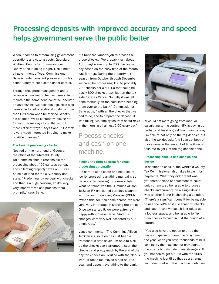# Processing deposits with improved accuracy and speed helps government serve the public better

When it comes to streamlining government operations and cutting costs, Georgia's Whitfield County Tax Commissioner Danny Sane is doing it right. Like almost all government offices, Commissioner Sane is under constant pressure from his constituency to keep costs under control.

Through thoughtful management and a reliance on innovation he has been able to maintain the same head count he inherited an astonishing two decades ago. He's also been able to cut operational costs by more than 63% from when he started. What's his secret? "We're constantly looking not for just quicker ways to do things, but more efficient ways," says Sane. "Our staff is very much interested in trying to make positive changes."

#### The task of processing checks

Nestled on the north end of Georgia, the office of the Whitfield County Tax Commissioner is responsible for processing about 400 car tags per day and collecting property taxes on 50,000 parcels of land for the city, county and state. "Predominantly we deal with checks, and that is a huge concern, so it's very, very important we can process them promptly," says Sane.



It's Rebecca Vance's job to process all those checks. "We probably run about 150, maybe even up to 200 checks per day based on the busy time of the month, just for tags. During the property tax season from October through December, we could be processing 150 to probably 200 checks per clerk. So that could be easily 600 checks a day, just on the tax side," states Vance. "Initially it was all done manually on the calculator, sending them over to the bank." Commissioner Sane adds, "With all the checks that we had to do, and to prepare the deposit, it was taking two employees from about 8:30 in the morning till almost 2:00 every day."

## Process checks and cash on one machine.

#### Finding the right solution for check processing automation

It's hard to keep costs and head count low by processing anything manually, so Sane started looking for a new solution. What he found was the Cummins Allison JetScan iFX check and currency scanner with Deposit Balancing Manager (DBM). "When this solution came across, we were very, very interested in starting the project. Once we started it, we were extremely happy with it," says Sane. "And the changes were very well-accepted by our employees."

Vance comments, "The Cummins Allison JetScan iFX solution has just been a tremendous time saver. I'm able to pick up the checks every afternoon, scan the checks, and pretty much by the end of the day the checks are verified with the clerk's work. It takes me maybe a half hour to scan and deposit everything to the bank.



"I would estimate going from manual calculating to the JetScan iFX is saving us probably at least a good two hours per day. I'm able to not only do the tag deposit, but also the tax deposit. And I can get both of those done in the amount of time it would take me to get just the tag deposit done."

#### Processing checks and cash on one device

In addition to checks, the Whitfield County Tax Commissioner also takes in cash for payments. What they didn't want was yet another piece of equipment to count only currency, so being able to process checks and currency on a single device was another factor in choosing a solution. "There's a significant benefit for being able to use the JetScan iFX scanner for checks and cash," says Vance. "It just takes up a lot less space, and being able to flip from checks to cash in just the punch of a button.

"You also have the option to strap the money. Especially during the busy time of the year, when you have thousands of bills coming in, the machine not only counts the straps but also identifies strangers. If you happen to get a 50 in with the 100s, the machine identifies that as a stranger. You take it out and the machine continues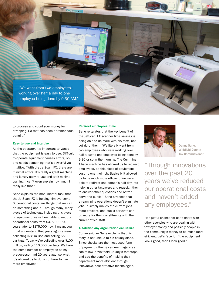

to process and count your money for strapping. So that has been a tremendous benefit."

#### Easy to use and intuitive

As the operator, it's important to Vance that the equipment is easy to use. Difficultto-operate equipment causes errors, so she needs something that's powerful yet intuitive. "With the JetScan iFX, there are minimal errors. It's really a great machine and is very easy to use and took minimal training. I can't even explain how much I really like that."

Sane explains the monumental task that the JetScan iFX is helping him overcome. "Operational costs are things that we can do something about. Through many, many pieces of technology, including this piece of equipment, we've been able to net our operational costs from \$475,000, 20 years later to \$175,000 now. I mean, you must understand that years ago we were collecting \$38 million and selling 65,000 car tags. Today we're collecting over \$100 million, selling 110,000 car tags. We have the same number of employees as my predecessor had 20 years ago, so what it's allowed us to do is not have to hire more employees."

#### Redirect employees' time

Sane reiterates that the key benefit of the JetScan iFX scanner time savings is being able to do more with his staff, not get rid of them. "We literally went from two employees who were working over half a day to one employee being done by 9:30 or so in the morning. The Cummins Allison machine has allowed us to redirect employees, so this piece of equipment cost no one their job. Basically it allowed us to be much more efficient. We were able to redirect one person's half day into helping other taxpayers and reassign them to answer other questions and better serve the public." Sane stresses that streamlining operations doesn't eliminate jobs, it simply makes the current jobs more efficient, and public servants can do more for their constituency with the current office staff.

#### A solution any organization can utilize

Commissioner Sane explains that his story is not unique to his county alone. Since checks are the most-used form of payment, other government agencies can follow in Whitfield County's footsteps and see the benefits of making their department more efficient through innovative, cost-effective technologies.



Danny Sane, Whitfield County Tax Commissioner

"Through innovations over the past 20 years we've reduced our operational costs and haven't added any employees."

"It's just a chance for us to share with other agencies who are dealing with taxpayer money and possibly people in the community's money to be much more efficient. Let's face it. If the equipment looks good, then I look good."